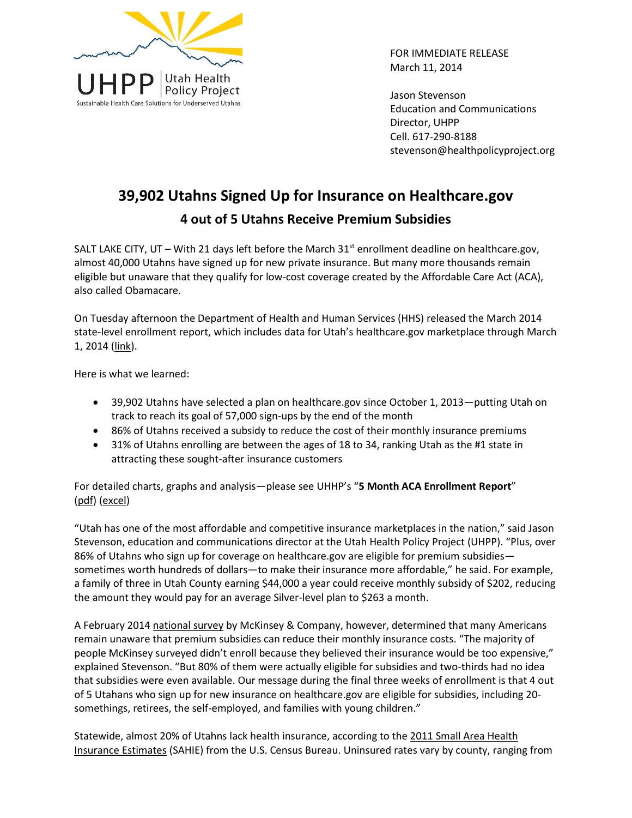

FOR IMMEDIATE RELEASE March 11, 2014

Jason Stevenson Education and Communications Director, UHPP Cell. 617-290-8188 stevenson@healthpolicyproject.org

## **39,902 Utahns Signed Up for Insurance on Healthcare.gov**

## **4 out of 5 Utahns Receive Premium Subsidies**

SALT LAKE CITY, UT – With 21 days left before the March 31<sup>st</sup> enrollment deadline on healthcare.gov, almost 40,000 Utahns have signed up for new private insurance. But many more thousands remain eligible but unaware that they qualify for low-cost coverage created by the Affordable Care Act (ACA), also called Obamacare.

On Tuesday afternoon the Department of Health and Human Services (HHS) released the March 2014 state-level enrollment report, which includes data for Utah's healthcare.gov marketplace through March 1, 2014 [\(link\)](http://aspe.hhs.gov/health/reports/2012/ACA-Research/index.cfm).

Here is what we learned:

- 39,902 Utahns have selected a plan on healthcare.gov since October 1, 2013—putting Utah on track to reach its goal of 57,000 sign-ups by the end of the month
- 86% of Utahns received a subsidy to reduce the cost of their monthly insurance premiums
- 31% of Utahns enrolling are between the ages of 18 to 34, ranking Utah as the #1 state in attracting these sought-after insurance customers

For detailed charts, graphs and analysis—please see UHHP's "**5 Month ACA Enrollment Report**" [\(pdf\)](http://www.healthpolicyproject.org/Publications_files/legislative/2014/UHPP-5MonthUpdate-1js.pdf) [\(excel\)](http://www.healthpolicyproject.org/Publications_files/legislative/2014/UHPP-5MonthUpdate-Excel-1js.xlsx)

"Utah has one of the most affordable and competitive insurance marketplaces in the nation," said Jason Stevenson, education and communications director at the Utah Health Policy Project (UHPP). "Plus, over 86% of Utahns who sign up for coverage on healthcare.gov are eligible for premium subsidies sometimes worth hundreds of dollars—to make their insurance more affordable," he said. For example, a family of three in Utah County earning \$44,000 a year could receive monthly subsidy of \$202, reducing the amount they would pay for an average Silver-level plan to \$263 a month.

A February 2014 [national](http://healthcare.mckinsey.com/individual-market-enrollment-updated-view) survey by McKinsey & Company, however, determined that many Americans remain unaware that premium subsidies can reduce their monthly insurance costs. "The majority of people McKinsey surveyed didn't enroll because they believed their insurance would be too expensive," explained Stevenson. "But 80% of them were actually eligible for subsidies and two-thirds had no idea that subsidies were even available. Our message during the final three weeks of enrollment is that 4 out of 5 Utahans who sign up for new insurance on healthcare.gov are eligible for subsidies, including 20 somethings, retirees, the self-employed, and families with young children."

Statewide, almost 20% of Utahns lack health insurance, according to the 2011 Small Area [Health](http://www.census.gov/did/www/sahie/data/interactive/#view=data&utilBtn=&yLB=0&stLB=45&aLB=0&sLB=0&iLB=0&rLB=0&countyCBSelected=true&insuredRBG=pu_&multiYearSelected=false&multiYearAlertFlag=false) [Insurance](http://www.census.gov/did/www/sahie/data/interactive/#view=data&utilBtn=&yLB=0&stLB=45&aLB=0&sLB=0&iLB=0&rLB=0&countyCBSelected=true&insuredRBG=pu_&multiYearSelected=false&multiYearAlertFlag=false) Estimates (SAHIE) from the U.S. Census Bureau. Uninsured rates vary by county, ranging from